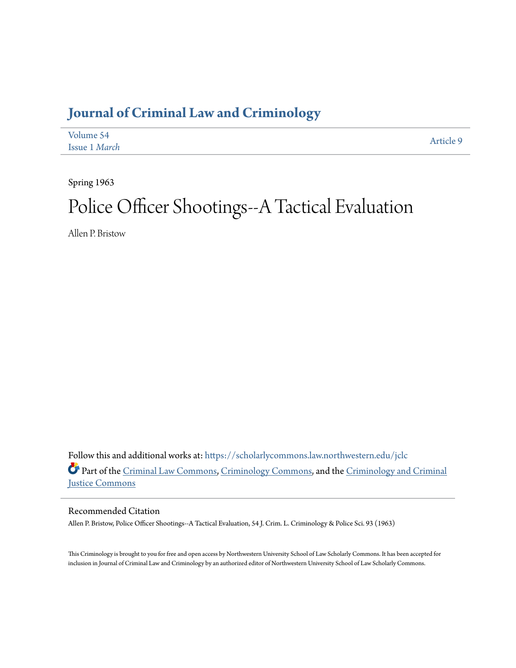## **[Journal of Criminal Law and Criminology](https://scholarlycommons.law.northwestern.edu/jclc?utm_source=scholarlycommons.law.northwestern.edu%2Fjclc%2Fvol54%2Fiss1%2F9&utm_medium=PDF&utm_campaign=PDFCoverPages)**

| Volume 54     | Article 9 |
|---------------|-----------|
| Issue 1 March |           |

Spring 1963

# Police Officer Shootings--A Tactical Evaluation

Allen P. Bristow

Follow this and additional works at: [https://scholarlycommons.law.northwestern.edu/jclc](https://scholarlycommons.law.northwestern.edu/jclc?utm_source=scholarlycommons.law.northwestern.edu%2Fjclc%2Fvol54%2Fiss1%2F9&utm_medium=PDF&utm_campaign=PDFCoverPages) Part of the [Criminal Law Commons](http://network.bepress.com/hgg/discipline/912?utm_source=scholarlycommons.law.northwestern.edu%2Fjclc%2Fvol54%2Fiss1%2F9&utm_medium=PDF&utm_campaign=PDFCoverPages), [Criminology Commons](http://network.bepress.com/hgg/discipline/417?utm_source=scholarlycommons.law.northwestern.edu%2Fjclc%2Fvol54%2Fiss1%2F9&utm_medium=PDF&utm_campaign=PDFCoverPages), and the [Criminology and Criminal](http://network.bepress.com/hgg/discipline/367?utm_source=scholarlycommons.law.northwestern.edu%2Fjclc%2Fvol54%2Fiss1%2F9&utm_medium=PDF&utm_campaign=PDFCoverPages) [Justice Commons](http://network.bepress.com/hgg/discipline/367?utm_source=scholarlycommons.law.northwestern.edu%2Fjclc%2Fvol54%2Fiss1%2F9&utm_medium=PDF&utm_campaign=PDFCoverPages)

Recommended Citation

Allen P. Bristow, Police Officer Shootings--A Tactical Evaluation, 54 J. Crim. L. Criminology & Police Sci. 93 (1963)

This Criminology is brought to you for free and open access by Northwestern University School of Law Scholarly Commons. It has been accepted for inclusion in Journal of Criminal Law and Criminology by an authorized editor of Northwestern University School of Law Scholarly Commons.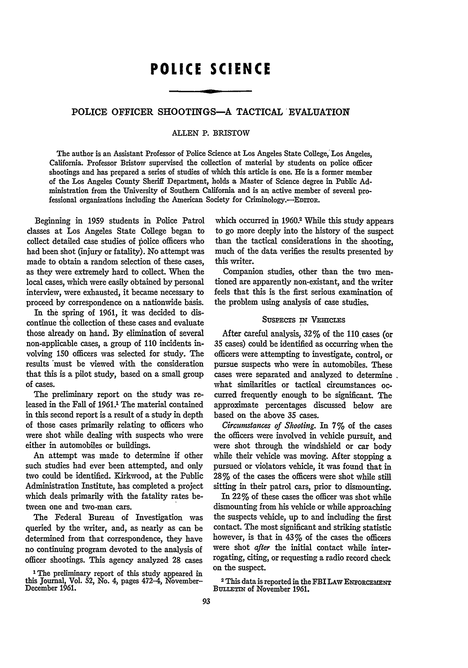### **POLICE SCIENCE**

#### POLICE OFFICER SHOOTINGS-A **TACTICAL EVALUATION**

#### **ALLEN** P. BRISTOW

The author is an Assistant Professor of Police Science at Los Angeles State College, Los Angeles, California. Professor Bristow supervised the collection of material **by** students on police officer shootings and has prepared a series of studies of which this article is one. He is a former member of the Los Angeles County Sheriff Department, holds a Master of Science degree in Public **Ad**ministration from the University of Southern California and is an active member of several professional organizations including the American Society for Criminology.--EDITOR.

Beginning in 1959 students in Police Patrol classes at Los Angeles State College began to collect detailed case studies of police officers who had been shot (injury or fatality). No attempt was made to obtain a random selection of these cases, as they were extremely hard to collect. When the local cases, which were easily obtained by personal interview, were exhausted, it became necessary to proceed by correspondence on a nationwide basis.

In the spring of 1961, it was decided to discontinue the collection of these cases and evaluate those already on hand. By elimination of several non-applicable cases, a group of 110 incidents involving 150 officers was selected for study. The results \*must be viewed with the consideration that this is a pilot study, based on a small group of cases.

The preliminary report on the study was released in the Fall of 1961.1 The material contained in this second report is a result of a study in depth of those cases primarily relating to officers who were shot while dealing with suspects who were either in automobiles or buildings.

An attempt was made to determine if other such studies had ever been attempted, and only two could be identified. Kirkwood, at the Public Administration Institute, has completed a project which deals primarily with the fatality rates between one and two-man cars.

The Federal Bureau of Investigation was queried by the writer, and, as nearly as can be determined from that correspondence, they have no continuing program devoted to the analysis of officer shootings. This agency analyzed **28** cases

which occurred in 1960.<sup>2</sup> While this study appears to go more deeply into the history of the suspect than the tactical considerations in the shooting, much of the data verifies the results presented by this writer.

Companion studies, other than the two mentioned are apparently non-existant, and the writer feels that this is the first serious examination of the problem using analysis of case studies.

#### SUSPECTS **IN VEmCLES**

After careful analysis, 32% of the 110 cases (or 35 cases) could be identified as occurring when the officers were attempting to investigate, control, or pursue suspects who were in automobiles. These cases were separated and analyzed to determine what similarities or tactical circumstances occurred frequently enough to be significant. The approximate percentages discussed below are based on the above **35** cases.

*Circumstances of Shooting.* In 7% of the cases the officers were involved in vehicle pursuit, and were shot through the windshield or car body while their vehicle was moving. After stopping a pursued or violators vehicle, it was found that in 28% of the cases the officers were shot while still sitting in their patrol cars, prior to dismounting.

In 22% of these cases the officer was shot while dismounting from his vehicle or while approaching the suspects vehicle, up to and including the first contact. The most significant and striking statistic however, is that in 43% of the cases the officers were shot *after* the initial contact while interrogating, citing, or requesting a radio record check on the suspect.

2 This data is reported in the FBI LAw **ENFORCEmENT** BULLETIN of November 1961.

<sup>1</sup>The preliminary report of this study appeared **in** this Journal, Vol. 52, No. 4, pages 472-4, November-December 1961.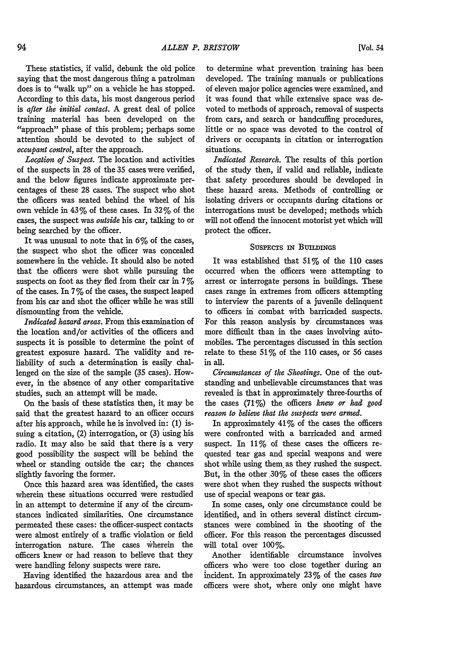These statistics, if valid, debunk the old police saying that the most dangerous thing a patrolman does is to "walk up" on a vehicle he has stopped. According to this data, his most dangerous period is *after the initial contact.* A great deal of police training material has been developed on the "approach" phase of this problem; perhaps some attention should be devoted to the subject of *occupant control,* after the approach.

*Location of Suspect.* The location and activities of the suspects in 28 of the 35 cases were verified, and the below figures indicate approximate percentages of these 28 cases. The suspect who shot the officers was seated behind the wheel of his own vehicle in  $43\%$  of these cases. In  $32\%$  of the cases, the suspect was *outside* his car, talking to or being searched by the officer.

It was unusual to note that in **6%** of the cases, the suspect who shot the officer was concealed somewhere in the vehicle. It should also be noted that the officers were shot while pursuing the suspects on foot as they fled from their car in 7% of the cases. In  $7\%$  of the cases, the suspect leaped from his car and shot the officer while he was still dismounting from the vehicle.

*Indicated hazard areas.* From this examination of the location and/or activities of the officers and suspects it is possible to determine the point of greatest exposure hazard. The validity and reliability of such a determination is easily challenged on the size of the sample (35 cases). However, in the absence of any other comparitative studies, such an attempt will be made.

On the basis of these statistics then, it may be said that the greatest hazard to an officer occurs after his approach, while he is involved in: (1) issuing a citation, (2) interrogation, or (3) using his radio. It may also be said that there is a very good possibility the suspect will be behind the wheel or standing outside the car; the chances slightly favoring the former.

Once this hazard area was identified, the cases wherein these situations occurred were restudied in an attempt to determine if any of the circumstances indicated similarities. One circumstance permeated these cases: the officer-suspect contacts were almost entirely of a traffic violation or field interrogation nature. The cases wherein the officers knew or had reason to believe that they were handling felony suspects were rare.

Having identified the hazardous area and the hazardous circumstances, an attempt was made

to determine what prevention training has been developed. The training manuals or publications of eleven major police agencies were examined, and it was found that while extensive space was devoted to methods of approach, removal of suspects from cars, and search or handcuffing procedures, little or no space was devoted to the control of drivers or occupants in citation or interrogation situations.

*Indicated Research.* The results of this portion of the study then, if valid and reliable, indicate that safety procedures should be developed in these hazard areas. Methods of controlling or isolating drivers or occupants during citations or interrogations must be developed; methods which will not offend the innocent motorist yet which will protect the officer.

#### SUSPECTS IN BUILDINGS

It was established that  $51\%$  of the 110 cases occurred when the officers were attempting to arrest or interrogate persons in buildings. These cases range in extremes from officers attempting to interview the parents of a juvenile delinquent to officers in combat with barricaded suspects. For this reason analysis by circumstances was more difficult than in the cases involving automobiles. The percentages discussed in this section relate to these  $51\%$  of the 110 cases, or 56 cases in all.

*Circumstances of the Shootings.* One of the outstanding and unbelievable circumstances that was revealed is that in approximately three-fourths of the cases (71%) the officers *knew or had good reason to believe that the suspects were armed.*

In approximately  $41\%$  of the cases the officers were confronted with a barricaded and armed suspect. In  $11\%$  of these cases the officers requested tear gas and special weapons and were shot while using them. as they rushed the suspect. But, in the other  $30\%$  of these cases the officers were shot when they rushed the suspects without use of special weapons or tear gas.

In some cases, only one circumstance could be identified, and in others several distinct circumstances were combined in the shooting of the officer. For this reason the percentages discussed will total over 100%.

Another identifiable circumstance involves officers who were too close together during an incident. In approximately 23% of the cases *two* officers were shot, where only one might have